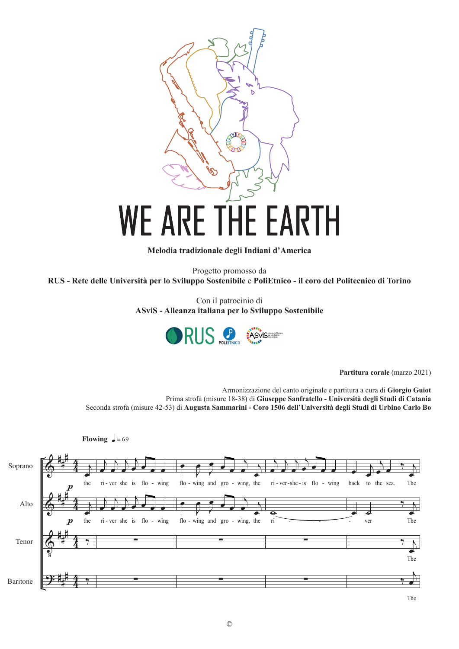

**Melodia tradizionale degli Indiani d'America**

Progetto promosso da **RUS - Rete delle Università per lo Sviluppo Sostenibile** e **PoliEtnico - il coro del Politecnico di Torino**

> Con il patrocinio di **ASviS - Alleanza italiana per lo Sviluppo Sostenibile**



**Partitura corale** (marzo 2021)

Armonizzazione del canto originale e partitura a cura di **Giorgio Guiot** Prima strofa (misure 18-38) di **Giuseppe Sanfratello - Università degli Studi di Catania** Seconda strofa (misure 42-53) di **Augusta Sammarini - Coro 1506 dell'Università degli Studi di Urbino Carlo Bo**

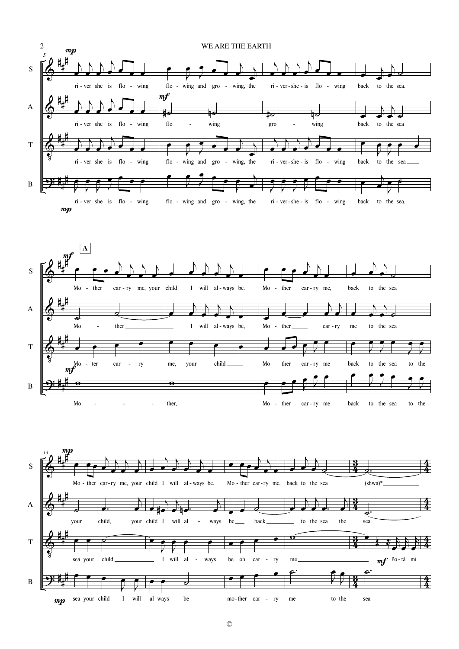



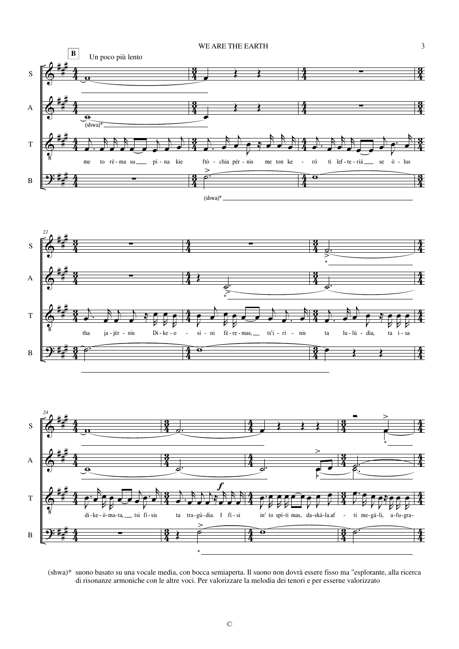





(shwa)\* suono basato su una vocale media, con bocca semiaperta. Il suono non dovrà essere fisso ma "esplorante, alla ricerca di risonanze armoniche con le altre voci. Per valorizzare la melodia dei tenori e per esserne valorizzato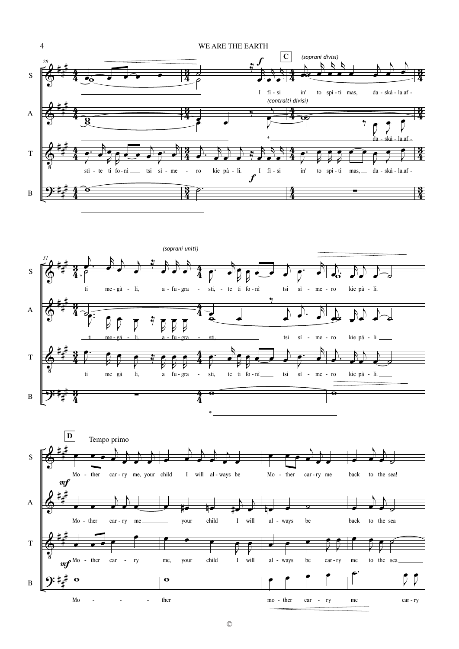



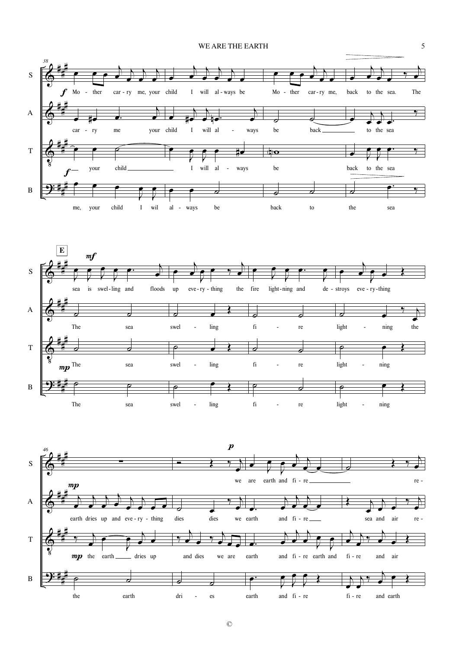## WE ARE THE EARTH







5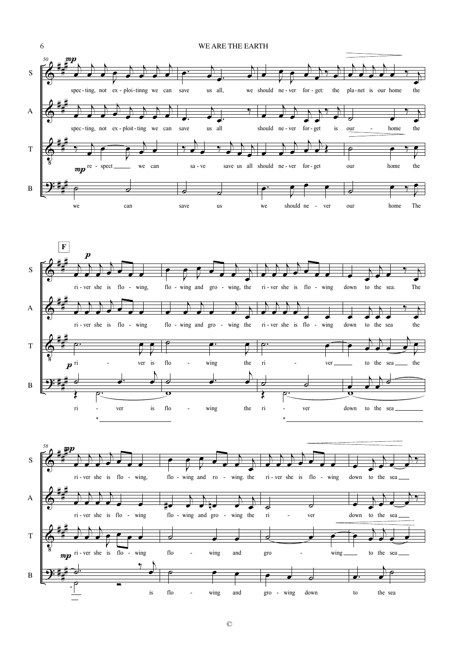



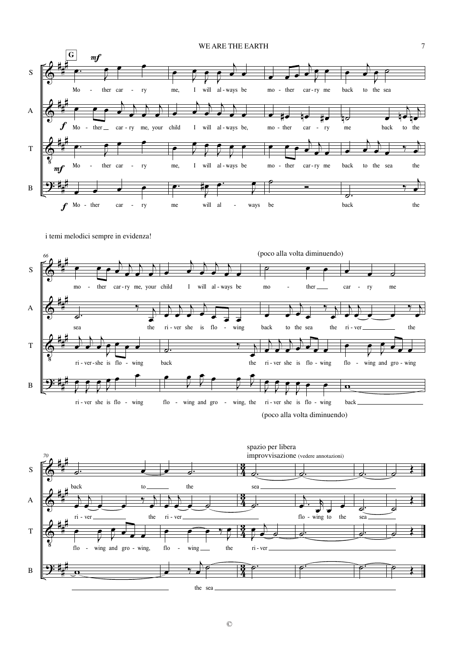



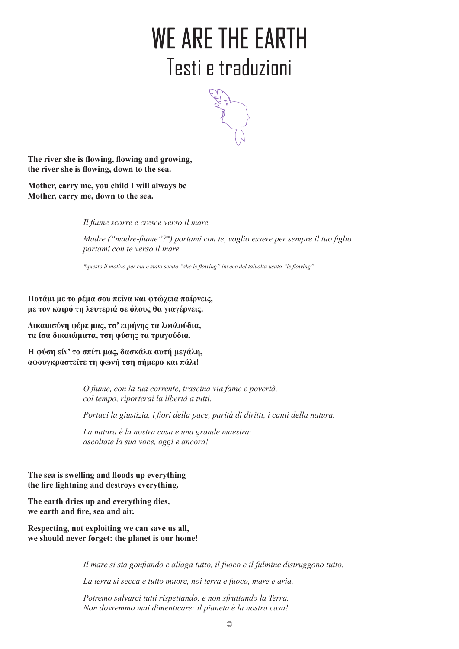## WE ARE THE EARTH Testi e traduzioni



**The river she is flowing, flowing and growing, the river she is flowing, down to the sea.**

**Mother, carry me, you child I will always be Mother, carry me, down to the sea.**

 *Il fiume scorre e cresce verso il mare.*

 *Madre ("madre-fiume"?\*) portami con te, voglio essere per sempre il tuo figlio portami con te verso il mare*

 *\*questo il motivo per cui è stato scelto "she is flowing" invece del talvolta usato "is flowing"*

**Ποτάμι με το ρέμα σου πείνα και φτώχεια παίρνεις, με τον καιρό τη λευτεριά σε όλους θα γιαγέρνεις.**

**Δικαιοσύνη φέρε μας, τσ' ειρήνης τα λουλούδια, τα ίσα δικαιώματα, τση φύσης τα τραγούδια.**

**Η φύση είν' το σπίτι μας, δασκάλα αυτή μεγάλη, αφουγκραστείτε τη φωνή τση σήμερο και πάλι!** 

> *O fiume, con la tua corrente, trascina via fame e povertà, col tempo, riporterai la libertà a tutti.*

 *Portaci la giustizia, i fiori della pace, parità di diritti, i canti della natura.*

 *La natura è la nostra casa e una grande maestra: ascoltate la sua voce, oggi e ancora!*

**The sea is swelling and floods up everything the fire lightning and destroys everything.**

**The earth dries up and everything dies, we earth and fire, sea and air.**

**Respecting, not exploiting we can save us all, we should never forget: the planet is our home!**

 *Il mare si sta gonfiando e allaga tutto, il fuoco e il fulmine distruggono tutto.*

 *La terra si secca e tutto muore, noi terra e fuoco, mare e aria.*

 *Potremo salvarci tutti rispettando, e non sfruttando la Terra. Non dovremmo mai dimenticare: il pianeta è la nostra casa!*